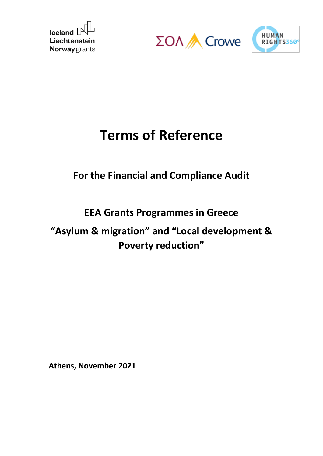





# **Terms of Reference**

# **For the Financial and Compliance Audit**

# **EEA Grants Programmes in Greece**

# **"Asylum & migration" and "Local development & Poverty reduction"**

**Athens, November 2021**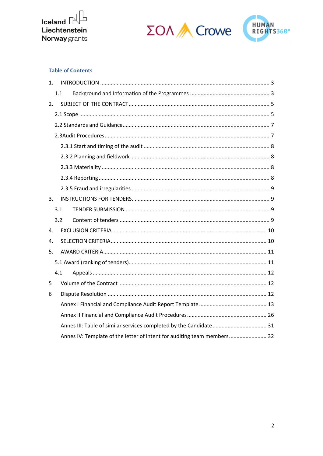





#### **Table of Contents**

| 1. |                                                                         |  |
|----|-------------------------------------------------------------------------|--|
|    | 1.1.                                                                    |  |
| 2. |                                                                         |  |
|    |                                                                         |  |
|    |                                                                         |  |
|    |                                                                         |  |
|    |                                                                         |  |
|    |                                                                         |  |
|    |                                                                         |  |
|    |                                                                         |  |
|    |                                                                         |  |
| 3. |                                                                         |  |
|    | 3.1                                                                     |  |
|    | 3.2 <sub>2</sub>                                                        |  |
| 4. |                                                                         |  |
| 4. |                                                                         |  |
| 5. |                                                                         |  |
|    |                                                                         |  |
|    | 4.1                                                                     |  |
| 5  |                                                                         |  |
| 6  |                                                                         |  |
|    |                                                                         |  |
|    |                                                                         |  |
|    |                                                                         |  |
|    | Annes IV: Template of the letter of intent for auditing team members 32 |  |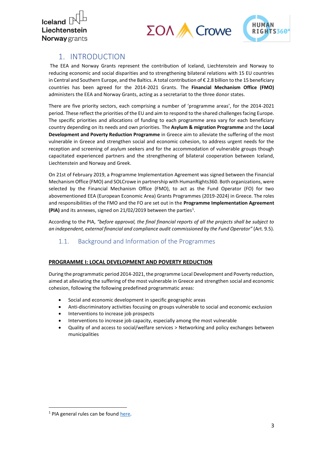

# $\Sigma$ OA A Crowe



## <span id="page-2-0"></span>1. INTRODUCTION

The EEA and Norway Grants represent the contribution of Iceland, Liechtenstein and Norway to reducing economic and social disparities and to strengthening bilateral relations with 15 EU countries in Central and Southern Europe, and the Baltics. A total contribution of € 2.8 billion to the 15 beneficiary countries has been agreed for the 2014-2021 Grants. The **Financial Mechanism Office (FMO)** administers the EEA and Norway Grants, acting as a secretariat to the three donor states.

There are five priority sectors, each comprising a number of 'programme areas', for the 2014-2021 period. These reflect the priorities of the EU and aim to respond to the shared challenges facing Europe. The specific priorities and allocations of funding to each programme area vary for each beneficiary country depending on its needs and own priorities. The **Asylum & migration Programme** and the **Local Development and Poverty Reduction Programme** in Greece aim to alleviate the suffering of the most vulnerable in Greece and strengthen social and economic cohesion, to address urgent needs for the reception and screening of asylum seekers and for the accommodation of vulnerable groups though capacitated experienced partners and the strengthening of bilateral cooperation between Iceland, Liechtenstein and Norway and Greek.

On 21st of February 2019, a Programme Implementation Agreement was signed between the Financial Mechanism Office (FMO) and SOLCrowe in partnership with HumanRights360. Both organizations, were selected by the Financial Mechanism Office (FMO), to act as the Fund Operator (FO) for two abovementioned EEA (European Economic Area) Grants Programmes (2019-2024) in Greece. The roles and responsibilities of the FMO and the FO are set out in the **Programme Implementation Agreement**  (PIA) and its annexes, signed on 21/02/2019 between the parties<sup>1</sup>.

According to the PIA, *"before approval, the final financial reports of all the projects shall be subject to an independent, external financial and compliance audit commissioned by the Fund Operator"* (Art. 9.5).

### <span id="page-2-1"></span>1.1. Background and Information of the Programmes

#### **PROGRAMME I: LOCAL DEVELOPMENT AND POVERTY REDUCTION**

During the programmatic period 2014-2021, the programme Local Development and Poverty reduction, aimed at alleviating the suffering of the most vulnerable in Greece and strengthen social and economic cohesion, following the following predefined programmatic areas:

- Social and economic development in specific geographic areas
- Anti-discriminatory activities focusing on groups vulnerable to social and economic exclusion
- Interventions to increase job prospects
- Interventions to increase job capacity, especially among the most vulnerable
- Quality of and access to social/welfare services > Networking and policy exchanges between municipalities

<sup>&</sup>lt;sup>1</sup> PIA general rules can be foun[d here.](https://eeagrants.org/sites/default/files/resources/Annex%20C%20-%20Template%20PIA.pdf)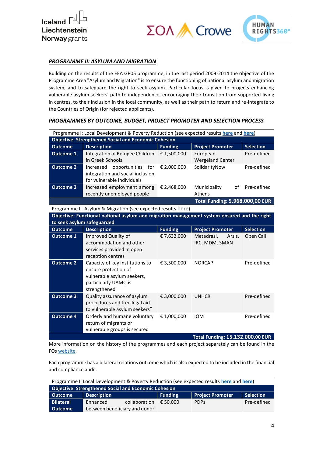





#### *PROGRAMME II: ASYLUM AND MIGRATION*

Building on the results of the EEA GR05 programme, in the last period 2009-2014 the objective of the Programme Area "Asylum and Migration" is to ensure the functioning of national asylum and migration system, and to safeguard the right to seek asylum. Particular focus is given to projects enhancing vulnerable asylum seekers' path to independence, encouraging their transition from supported living in centres, to their inclusion in the local community, as well as their path to return and re-integrate to the Countries of Origin (for rejected applicants).

|  | PROGRAMMES BY OUTCOME, BUDGET, PROJECT PROMOTER AND SELECTION PROCESS |
|--|-----------------------------------------------------------------------|
|  |                                                                       |

| Programme I: Local Development & Poverty Reduction (see expected results here and here) |                                                                                                                                |                |                                        |                  |  |
|-----------------------------------------------------------------------------------------|--------------------------------------------------------------------------------------------------------------------------------|----------------|----------------------------------------|------------------|--|
|                                                                                         | <b>Objective: Strengthened Social and Economic Cohesion</b>                                                                    |                |                                        |                  |  |
| <b>Outcome</b>                                                                          | <b>Description</b>                                                                                                             | <b>Funding</b> | <b>Project Promoter</b>                | <b>Selection</b> |  |
| <b>Outcome 1</b>                                                                        | Integration of Refugee Children                                                                                                | € 1,500,000    | European                               | Pre-defined      |  |
|                                                                                         | in Greek Schools                                                                                                               |                | <b>Wergeland Center</b>                |                  |  |
| <b>Outcome 2</b>                                                                        | opportunities<br>for<br>Increased<br>integration and social inclusion<br>for vulnerable individuals                            | € 2.000.000    | SolidarityNow                          | Pre-defined      |  |
| <b>Outcome 3</b>                                                                        | Increased employment among<br>recently unemployed people                                                                       | € 2,468,000    | Municipality<br>of<br>Athens           | Pre-defined      |  |
|                                                                                         |                                                                                                                                |                | <b>Total Funding: 5.968.000,00 EUR</b> |                  |  |
|                                                                                         | Programme II. Asylum & Migration (see expected results here)                                                                   |                |                                        |                  |  |
|                                                                                         | Objective: Functional national asylum and migration management system ensured and the right                                    |                |                                        |                  |  |
| to seek asylum safeguarded                                                              |                                                                                                                                |                |                                        |                  |  |
| <b>Outcome</b>                                                                          | <b>Description</b>                                                                                                             | <b>Funding</b> | <b>Project Promoter</b>                | <b>Selection</b> |  |
| <b>Outcome 1</b>                                                                        | Improved Quality of<br>accommodation and other<br>services provided in open                                                    | € 7,632,000    | Metadrasi,<br>Arsis,<br>IRC, MDM, SMAN | Open Call        |  |
|                                                                                         | reception centres                                                                                                              |                |                                        |                  |  |
| <b>Outcome 2</b>                                                                        | Capacity of key institutions to<br>ensure protection of<br>vulnerable asylum seekers,<br>particularly UAMs, is<br>strengthened | € 3,500,000    | <b>NORCAP</b>                          | Pre-defined      |  |
| <b>Outcome 3</b>                                                                        | Quality assurance of asylum<br>procedures and free legal aid<br>to vulnerable asylum seekers"                                  | € 3,000,000    | <b>UNHCR</b>                           | Pre-defined      |  |
| <b>Outcome 4</b>                                                                        | Orderly and humane voluntary<br>return of migrants or<br>vulnerable groups is secured                                          | € 1,000,000    | <b>IOM</b>                             | Pre-defined      |  |
| <b>Total Funding: 15.132.000,00 EUR</b>                                                 |                                                                                                                                |                |                                        |                  |  |

More information on the history of the programmes and each project separately can be found in the FOs [website.](https://www.asylumandmigration-eeagrants.gr/wp-content/uploads/2019/10/TargetsOutcomes_-Local-Development-and-Poverty-Reduction.pdf)

Each programme has a bilateral relations outcome which is also expected to be included in the financial and compliance audit.

| Programme I: Local Development & Poverty Reduction (see expected results here and here) |                    |                               |                |                         |             |
|-----------------------------------------------------------------------------------------|--------------------|-------------------------------|----------------|-------------------------|-------------|
| <b>Objective: Strengthened Social and Economic Cohesion</b>                             |                    |                               |                |                         |             |
| <b>Outcome</b>                                                                          | <b>Description</b> |                               | <b>Funding</b> | <b>Project Promoter</b> | Selection   |
| <b>Bilateral</b>                                                                        | Enhanced           | collaboration                 | € 50.000       | <b>PDPs</b>             | Pre-defined |
| <b>Outcome</b>                                                                          |                    | between beneficiary and donor |                |                         |             |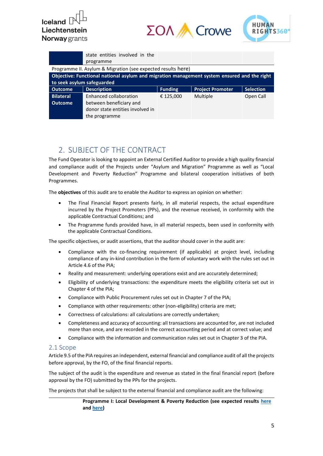





|                            | state entities involved in the<br>programme                                                 |                |                         |                  |
|----------------------------|---------------------------------------------------------------------------------------------|----------------|-------------------------|------------------|
|                            | Programme II. Asylum & Migration (see expected results here)                                |                |                         |                  |
|                            | Objective: Functional national asylum and migration management system ensured and the right |                |                         |                  |
| to seek asylum safeguarded |                                                                                             |                |                         |                  |
|                            |                                                                                             |                |                         |                  |
| <b>Outcome</b>             | <b>Description</b>                                                                          | <b>Funding</b> | <b>Project Promoter</b> | <b>Selection</b> |
| <b>Bilateral</b>           | Enhanced collaboration                                                                      | € 125,000      | Multiple                | Open Call        |
| <b>Outcome</b>             | between beneficiary and                                                                     |                |                         |                  |
|                            | donor state entities involved in                                                            |                |                         |                  |

## <span id="page-4-0"></span>2. SUBJECT OF THE CONTRACT

The Fund Operator is looking to appoint an External Certified Auditor to provide a high quality financial and compliance audit of the Projects under "Asylum and Migration" Programme as well as "Local Development and Poverty Reduction" Programme and bilateral cooperation initiatives of both Programmes.

The **objectives** of this audit are to enable the Auditor to express an opinion on whether:

- The Final Financial Report presents fairly, in all material respects, the actual expenditure incurred by the Project Promoters (PPs), and the revenue received, in conformity with the applicable Contractual Conditions; and
- The Programme funds provided have, in all material respects, been used in conformity with the applicable Contractual Conditions.

The specific objectives, or audit assertions, that the auditor should cover in the audit are:

- Compliance with the co-financing requirement (if applicable) at project level, including compliance of any in-kind contribution in the form of voluntary work with the rules set out in Article 4.6 of the PIA;
- Reality and measurement: underlying operations exist and are accurately determined;
- Eligibility of underlying transactions: the expenditure meets the eligibility criteria set out in Chapter 4 of the PIA;
- Compliance with Public Procurement rules set out in Chapter 7 of the PIA;
- Compliance with other requirements: other (non-eligibility) criteria are met;
- Correctness of calculations: all calculations are correctly undertaken;
- Completeness and accuracy of accounting: all transactions are accounted for, are not included more than once, and are recorded in the correct accounting period and at correct value; and
- Compliance with the information and communication rules set out in Chapter 3 of the PIA.

#### <span id="page-4-1"></span>2.1 Scope

Article 9.5 of the PIA requires an independent, external financial and compliance audit of all the projects before approval, by the FO, of the final financial reports.

The subject of the audit is the expenditure and revenue as stated in the final financial report (before approval by the FO) submitted by the PPs for the projects.

The projects that shall be subject to the external financial and compliance audit are the following:

#### **Programme I: Local Development & Poverty Reduction (see expected results [here](https://www.asylumandmigration-eeagrants.gr/wp-content/uploads/2019/10/TargetsOutcomes_-Local-Development-and-Poverty-Reduction.pdf) an[d here\)](https://www.asylumandmigration-eeagrants.gr/wp-content/uploads/2019/10/TargetsOutcomes_Bilateral-Cooperation-Initiatives.pdf)**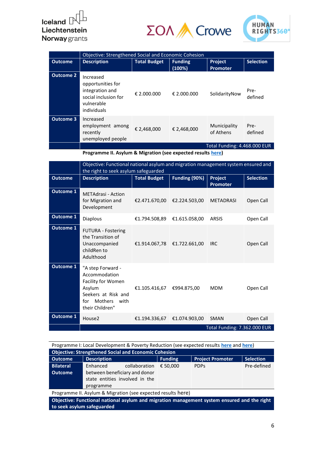## Iceland  $\mathbb P^1$ Liechtenstein **Norway** grants

# $\Sigma$ O $\wedge$  Crowe



|                  | Objective: Strengthened Social and Economic Cohesion                                                   |                     |                          |                                   |                  |
|------------------|--------------------------------------------------------------------------------------------------------|---------------------|--------------------------|-----------------------------------|------------------|
| <b>Outcome</b>   | <b>Description</b>                                                                                     | <b>Total Budget</b> | <b>Funding</b><br>(100%) | <b>Project</b><br><b>Promoter</b> | <b>Selection</b> |
| <b>Outcome 2</b> | Increased<br>opportunities for<br>integration and<br>social inclusion for<br>vulnerable<br>individuals | € 2.000.000         | € 2.000.000              | SolidarityNow                     | Pre-<br>defined  |
| <b>Outcome 3</b> | Increased<br>employment among<br>recently<br>unemployed people                                         | € 2,468,000         | € 2,468,000              | Municipality<br>of Athens         | Pre-<br>defined  |
|                  |                                                                                                        |                     |                          | Total Funding: 4.468.000 EUR      |                  |

**Programme II. Asylum & Migration (see expected results [here\)](https://www.asylumandmigration-eeagrants.gr/wp-content/uploads/2019/10/TargetsOutcomes_-Asylum-migration.pdf)**

|                  | Objective: Functional national asylum and migration management system ensured and<br>the right to seek asylum safeguarded              |                             |               |                              |           |  |  |
|------------------|----------------------------------------------------------------------------------------------------------------------------------------|-----------------------------|---------------|------------------------------|-----------|--|--|
| <b>Outcome</b>   | Funding (90%)<br><b>Description</b><br><b>Total Budget</b><br><b>Selection</b><br>Project<br><b>Promoter</b>                           |                             |               |                              |           |  |  |
| <b>Outcome 1</b> | <b>METAdrasi - Action</b><br>for Migration and<br>Development                                                                          | €2.471.670,00               | €2.224.503,00 | <b>METADRASI</b>             | Open Call |  |  |
| <b>Outcome 1</b> | <b>Diaplous</b>                                                                                                                        | €1.794.508,89               | €1.615.058,00 | <b>ARSIS</b>                 | Open Call |  |  |
| <b>Outcome 1</b> | <b>FUTURA - Fostering</b><br>the Transition of<br>Unaccompanied<br>childRen to<br>Adulthood                                            | €1.914.067,78 €1.722.661,00 |               | <b>IRC</b>                   | Open Call |  |  |
| <b>Outcome 1</b> | "A step Forward -<br>Accommodation<br>Facility for Women<br>Asylum<br>Seekers at Risk and<br>Mothers<br>with<br>for<br>their Children" | €1.105.416,67               | €994.875,00   | <b>MDM</b>                   | Open Call |  |  |
| <b>Outcome 1</b> | House <sub>2</sub>                                                                                                                     | €1.194.336,67               | €1.074.903,00 | <b>SMAN</b>                  | Open Call |  |  |
|                  |                                                                                                                                        |                             |               | Total Funding: 7.362.000 EUR |           |  |  |

Programme I: Local Development & Poverty Reduction (see expected results **[here](https://www.asylumandmigration-eeagrants.gr/wp-content/uploads/2019/10/TargetsOutcomes_-Local-Development-and-Poverty-Reduction.pdf)** and **[here](https://www.asylumandmigration-eeagrants.gr/wp-content/uploads/2019/10/TargetsOutcomes_Bilateral-Cooperation-Initiatives.pdf)**)

| <b>Objective: Strengthened Social and Economic Cohesion</b> |                                |                |                         |                  |  |
|-------------------------------------------------------------|--------------------------------|----------------|-------------------------|------------------|--|
| <b>Outcome</b>                                              | <b>Description</b>             | <b>Funding</b> | <b>Project Promoter</b> | <b>Selection</b> |  |
| <b>Bilateral</b>                                            | Enhanced<br>collaboration      | € 50.000       | <b>PDPs</b>             | Pre-defined      |  |
| <b>Outcome</b>                                              | between beneficiary and donor  |                |                         |                  |  |
|                                                             | state entities involved in the |                |                         |                  |  |
|                                                             | programme                      |                |                         |                  |  |

Programme II. Asylum & Migration (see expected results [here](https://www.asylumandmigration-eeagrants.gr/wp-content/uploads/2019/10/TargetsOutcomes_-Asylum-migration.pdf))

**Objective: Functional national asylum and migration management system ensured and the right to seek asylum safeguarded**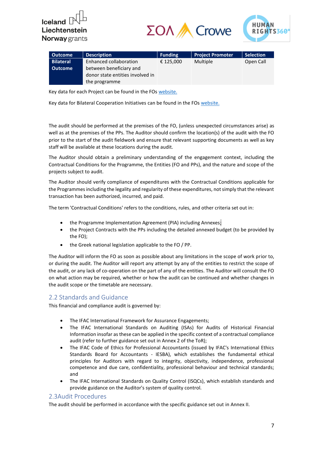



| <b>Outcome</b>   | <b>Description</b>               | <b>Funding</b> | <b>Project Promoter</b> | <b>Selection</b> |
|------------------|----------------------------------|----------------|-------------------------|------------------|
| <b>Bilateral</b> | Enhanced collaboration           | € 125,000      | Multiple                | Open Call        |
| <b>Outcome</b>   | between beneficiary and          |                |                         |                  |
|                  | donor state entities involved in |                |                         |                  |
|                  | the programme                    |                |                         |                  |

Key data for each Project can be found in the FO[s website.](https://www.asylumandmigration-eeagrants.gr/wp-content/uploads/2019/10/TargetsOutcomes_-Local-Development-and-Poverty-Reduction.pdf)

Key data for Bilateral Cooperation Initiatives can be found in the FO[s website.](https://www.asylumandmigration-eeagrants.gr/bilateral-cooperation-en/)

The audit should be performed at the premises of the [FO,](http://www.ms.ro/) (unless unexpected circumstances arise) as well as at the premises of the PPs. The Auditor should confirm the location(s) of the audit with the FO prior to the start of the audit fieldwork and ensure that relevant supporting documents as well as key staff will be available at these locations during the audit.

The Auditor should obtain a preliminary understanding of the engagement context, including the Contractual Conditions for the Programme, the Entities (FO and PPs), and the nature and scope of the projects subject to audit.

The Auditor should verify compliance of expenditures with the Contractual Conditions applicable for the Programmes including the legality and regularity of these expenditures, not simply that the relevant transaction has been authorized, incurred, and paid.

The term 'Contractual Conditions' refers to the conditions, rules, and other criteria set out in:

- the Programme Implementation Agreement (PIA) including Annexes;
- the Project Contracts with the PPs including the detailed annexed budget (to be provided by the FO);
- the Greek national legislation applicable to the FO / PP.

The Auditor will inform the FO as soon as possible about any limitations in the scope of work prior to, or during the audit. The Auditor will report any attempt by any of the entities to restrict the scope of the audit, or any lack of co-operation on the part of any of the entities. The Auditor will consult the FO on what action may be required, whether or how the audit can be continued and whether changes in the audit scope or the timetable are necessary.

#### <span id="page-6-0"></span>2.2 Standards and Guidance

This financial and compliance audit is governed by:

- The IFAC International Framework for Assurance Engagements;
- The IFAC International Standards on Auditing (ISAs) for Audits of Historical Financial Information insofar as these can be applied in the specific context of a contractual compliance audit (refer to further guidance set out in Annex 2 of the ToR);
- The IFAC Code of Ethics for Professional Accountants (issued by IFAC's International Ethics Standards Board for Accountants - IESBA), which establishes the fundamental ethical principles for Auditors with regard to integrity, objectivity, independence, professional competence and due care, confidentiality, professional behaviour and technical standards; and
- The IFAC International Standards on Quality Control (ISQCs), which establish standards and provide guidance on the Auditor's system of quality control.

#### <span id="page-6-1"></span>2.3Audit Procedures

The audit should be performed in accordance with the specific guidance set out in Annex II.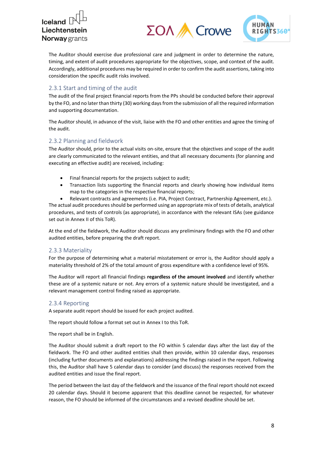$\Sigma$ OA A Crowe



The Auditor should exercise due professional care and judgment in order to determine the nature, timing, and extent of audit procedures appropriate for the objectives, scope, and context of the audit. Accordingly, additional procedures may be required in order to confirm the audit assertions, taking into consideration the specific audit risks involved.

#### <span id="page-7-0"></span>2.3.1 Start and timing of the audit

The audit of the final project financial reports from the PPs should be conducted before their approval by the FO, and no later than thirty (30) working days from the submission of all the required information and supporting documentation.

The Auditor should, in advance of the visit, liaise with the FO and other entities and agree the timing of the audit.

#### <span id="page-7-1"></span>2.3.2 Planning and fieldwork

The Auditor should, prior to the actual visits on-site, ensure that the objectives and scope of the audit are clearly communicated to the relevant entities, and that all necessary documents (for planning and executing an effective audit) are received, including:

- Final financial reports for the projects subject to audit;
- Transaction lists supporting the financial reports and clearly showing how individual items map to the categories in the respective financial reports;

• Relevant contracts and agreements (i.e. PIA, Project Contract, Partnership Agreement, etc.). The actual audit procedures should be performed using an appropriate mix of tests of details, analytical

procedures, and tests of controls (as appropriate), in accordance with the relevant ISAs (see guidance set out in Annex II of this ToR).

At the end of the fieldwork, the Auditor should discuss any preliminary findings with the FO and other audited entities, before preparing the draft report.

#### <span id="page-7-2"></span>2.3.3 Materiality

For the purpose of determining what a material misstatement or error is, the Auditor should apply a materiality threshold of 2% of the total amount of gross expenditure with a confidence level of 95%.

The Auditor will report all financial findings **regardless of the amount involved** and identify whether these are of a systemic nature or not. Any errors of a systemic nature should be investigated, and a relevant management control finding raised as appropriate.

#### <span id="page-7-3"></span>2.3.4 Reporting

A separate audit report should be issued for each project audited.

The report should follow a format set out in Annex I to this ToR.

The report shall be in English.

The Auditor should submit a draft report to the FO within 5 calendar days after the last day of the fieldwork. The FO and other audited entities shall then provide, within 10 calendar days, responses (including further documents and explanations) addressing the findings raised in the report. Following this, the Auditor shall have 5 calendar days to consider (and discuss) the responses received from the audited entities and issue the final report.

The period between the last day of the fieldwork and the issuance of the final report should not exceed 20 calendar days. Should it become apparent that this deadline cannot be respected, for whatever reason, the FO should be informed of the circumstances and a revised deadline should be set.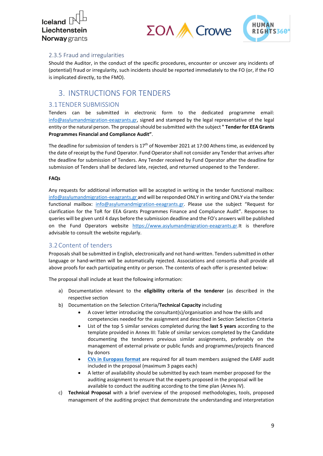



#### <span id="page-8-0"></span>2.3.5 Fraud and irregularities

Should the Auditor, in the conduct of the specific procedures, encounter or uncover any incidents of (potential) fraud or irregularity, such incidents should be reported immediately to the FO (or, if the FO is implicated directly, to the FMO).

## <span id="page-8-1"></span>3. INSTRUCTIONS FOR TENDERS

#### <span id="page-8-2"></span>3.1 TENDER SUBMISSION

Tenders can be submitted in electronic form to the dedicated programme email: [info@asylumandmigration-eeagrants.gr,](mailto:info@asylumandmigration-eeagrants.gr) signed and stamped by the legal representative of the legal entity or the natural person. The proposalshould be submitted with the subject **" Tender for EEA Grants Programmes Financial and Compliance Audit"**.

The deadline for submission of tenders is  $17<sup>th</sup>$  of November 2021 at 17:00 Athens time, as evidenced by the date of receipt by the Fund Operator. Fund Operator shall not consider any Tender that arrives after the deadline for submission of Tenders. Any Tender received by Fund Operator after the deadline for submission of Tenders shall be declared late, rejected, and returned unopened to the Tenderer.

#### **FAQs**

Any requests for additional information will be accepted in writing in the tender functional mailbox: [info@asylumandmigration-eeagrants.gr](mailto:info@asylumandmigration-eeagrants.gr) and will be responded ONLY in writing and ONLY via the tender functional mailbox: [info@asylumandmigration-eeagrants.gr.](mailto:info@asylumandmigration-eeagrants.gr) Please use the subject "Request for clarification for the ToR for EEA Grants Programmes Finance and Compliance Audit". Responses to queries will be given until 4 days before the submission deadline and the FO's answers will be published on the Fund Operators website [https://www.asylumandmigration-eeagrants.gr.I](https://www.asylumandmigration-eeagrants.gr/)t is therefore advisable to consult the website regularly.

#### <span id="page-8-3"></span>3.2Content of tenders

Proposalsshall be submitted in English, electronically and not hand-written. Tenders submitted in other language or hand-written will be automatically rejected. Associations and consortia shall provide all above proofs for each participating entity or person. The contents of each offer is presented below:

The proposal shall include at least the following information:

- a) Documentation relevant to the **eligibility criteria of the tenderer** (as described in the respective section
- b) Documentation on the Selection Criteria/**Technical Capacity** including
	- A cover letter introducing the consultant(s)/organisation and how the skills and competencies needed for the assignment and described in Section Selection Criteria
	- List of the top 5 similar services completed during the **last 5 years** according to the template provided in Annex III: Table of similar [services completed by the Candidate](#page-30-0) documenting the tenderers previous similar assignments, preferably on the management of external private or public funds and programmes/projects financed by donors
	- **[CVs in Europass format](https://europa.eu/europass/en/create-europass-cv)** are required for all team members assigned the EARF audit included in the proposal (maximum 3 pages each)
	- A letter of availability should be submitted by each team member proposed for the auditing assignment to ensure that the experts proposed in the proposal will be available to conduct the auditing according to the time plan (Annex IV).
- c) **Technical Proposal** with a brief overview of the proposed methodologies, tools, proposed management of the auditing project that demonstrate the understanding and interpretation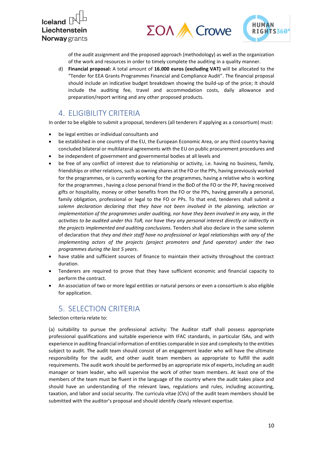Iceland<sup>[</sup> Liechtenstein **Norway** grants





of the audit assignment and the proposed approach (methodology) as well as the organization of the work and resources in order to timely complete the auditing in a quality manner.

d) **Financial proposal:** A total amount of **16.000 euros (excluding VAT)** will be allocated to the "Tender for EEA Grants Programmes Financial and Compliance Audit". The financial proposal should include an indicative budget breakdown showing the build-up of the price; It should include the auditing fee, travel and accommodation costs, daily allowance and preparation/report writing and any other proposed products.

## <span id="page-9-0"></span>4. ELIGIBILITY CRITERIA

In order to be eligible to submit a proposal, tenderers (all tenderers if applying as a consortium) must:

- be legal entities or individual consultants and
- be established in one country of the EU, the European Economic Area, or any third country having concluded bilateral or multilateral agreements with the EU on public procurement procedures and
- be independent of government and governmental bodies at all levels and
- be free of any conflict of interest due to relationship or activity, i.e. having no business, family, friendships or other relations, such as owning shares at the FO or the PPs, having previously worked for the programmes, or is currently working for the programmes, having a relative who is working for the programmes , having a close personal friend in the BoD of the FO or the PP, having received gifts or hospitality, money or other benefits from the FO or the PPs, having generally a personal, family obligation, professional or legal to the FO or PPs. To that end, tenderers shall submit *a solemn declaration declaring that they have not been involved in the planning, selection or implementation of the programmes under auditing, nor have they been involved in any way, in the activities to be audited under this ToR, nor have they any personal interest directly or indirectly in the projects implemented and auditing conclusions*. Tenders shall also declare in the same solemn of declaration that *they and their staff have no professional or legal relationships with any of the implementing actors of the projects (project promoters and fund operator) under the two programmes during the last 5 years*.
- have stable and sufficient sources of finance to maintain their activity throughout the contract duration.
- Tenderers are required to prove that they have sufficient economic and financial capacity to perform the contract.
- An association of two or more legal entities or natural persons or even a consortium is also eligible for application.

## <span id="page-9-1"></span>5. SELECTION CRITERIA

Selection criteria relate to:

(a) suitability to pursue the professional activity: The Auditor staff shall possess appropriate professional qualifications and suitable experience with IFAC standards, in particular ISAs, and with experience in auditing financial information of entities comparable in size and complexity to the entities subject to audit. The audit team should consist of an engagement leader who will have the ultimate responsibility for the audit, and other audit team members as appropriate to fulfill the audit requirements. The audit work should be performed by an appropriate mix of experts, including an audit manager or team leader, who will supervise the work of other team members. At least one of the members of the team must be fluent in the language of the country where the audit takes place and should have an understanding of the relevant laws, regulations and rules, including accounting, taxation, and labor and social security. The curricula vitae (CVs) of the audit team members should be submitted with the auditor's proposal and should identify clearly relevant expertise.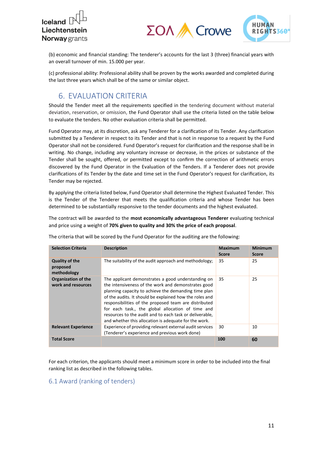



(b) economic and financial standing: The tenderer's accounts for the last 3 (three) financial years with an overall turnover of min. 15.000 per year.

(c) professional ability: Professional ability shall be proven by the works awarded and completed during the last three years which shall be of the same or similar object.

## <span id="page-10-0"></span>6. EVALUATION CRITERIA

Should the Tender meet all the requirements specified in the tendering document without material deviation, reservation, or omission, the Fund Operator shall use the criteria listed on the table below to evaluate the tenders. No other evaluation criteria shall be permitted.

Fund Operator may, at its discretion, ask any Tenderer for a clarification of its Tender. Any clarification submitted by a Tenderer in respect to its Tender and that is not in response to a request by the Fund Operator shall not be considered. Fund Operator's request for clarification and the response shall be in writing. No change, including any voluntary increase or decrease, in the prices or substance of the Tender shall be sought, offered, or permitted except to confirm the correction of arithmetic errors discovered by the Fund Operator in the Evaluation of the Tenders. If a Tenderer does not provide clarifications of its Tender by the date and time set in the Fund Operator's request for clarification, its Tender may be rejected.

By applying the criteria listed below, Fund Operator shall determine the Highest Evaluated Tender. This is the Tender of the Tenderer that meets the qualification criteria and whose Tender has been determined to be substantially responsive to the tender documents and the highest evaluated.

The contract will be awarded to the **most economically advantageous Tenderer** evaluating technical and price using a weight of **70% given to quality and 30% the price of each proposal**.

| <b>Selection Criteria</b>                        | <b>Description</b>                                                                                                                                                                                                                                                                                                                                                                                                                                             | <b>Maximum</b><br><b>Score</b> | Minimum<br><b>Score</b> |
|--------------------------------------------------|----------------------------------------------------------------------------------------------------------------------------------------------------------------------------------------------------------------------------------------------------------------------------------------------------------------------------------------------------------------------------------------------------------------------------------------------------------------|--------------------------------|-------------------------|
| <b>Quality of the</b><br>proposed<br>methodology | The suitability of the audit approach and methodology;                                                                                                                                                                                                                                                                                                                                                                                                         | 35                             | 25                      |
| <b>Organization of the</b><br>work and resources | The applicant demonstrates a good understanding on<br>the intensiveness of the work and demonstrates good<br>planning capacity to achieve the demanding time plan<br>of the audits. It should be explained how the roles and<br>responsibilities of the proposed team are distributed<br>for each task., the global allocation of time and<br>resources to the audit and to each task or deliverable.<br>and whether this allocation is adequate for the work. | 35                             | 25                      |
| <b>Relevant Experience</b>                       | Experience of providing relevant external audit services<br>(Tenderer's experience and previous work done)                                                                                                                                                                                                                                                                                                                                                     | 30                             | 10                      |
| <b>Total Score</b>                               |                                                                                                                                                                                                                                                                                                                                                                                                                                                                | 100                            | 60                      |

The criteria that will be scored by the Fund Operator for the auditing are the following:

For each criterion, the applicants should meet a minimum score in order to be included into the final ranking list as described in the following tables.

#### <span id="page-10-1"></span>6.1 Award (ranking of tenders)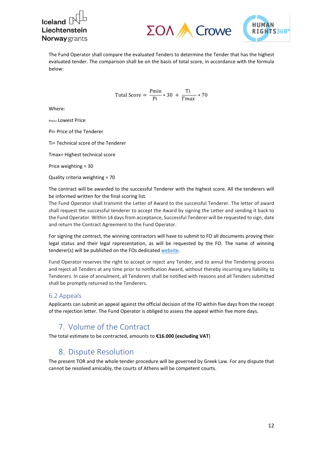$l$ celand $\lceil$ Liechtenstein **Norway** grants





The Fund Operator shall compare the evaluated Tenders to determine the Tender that has the highest evaluated tender. The comparison shall be on the basis of total score, in accordance with the formula below:

Total Score = 
$$
\frac{\text{Pmin}}{\text{Pi}} * 30 + \frac{\text{Ti}}{\text{Tmax}} * 70
$$

Where:

Pmin= Lowest Price

Pi= Price of the Tenderer

Ti= Technical score of the Tenderer

Tmax= Highest technical score

Price weighting = 30

Quality criteria weighting = 70

The contract will be awarded to the successful Tenderer with the highest score. All the tenderers will be informed written for the final scoring list.

The Fund Operator shall transmit the Letter of Award to the successful Tenderer. The letter of award shall request the successful tenderer to accept the Award by signing the Letter and sending it back to the Fund Operator. Within 14 days from acceptance, Successful Tenderer will be requested to sign, date and return the Contract Agreement to the Fund Operator.

For signing the contract, the winning contractors will have to submit to FO all documents proving their legal status and their legal representation, as will be requested by the FO. The name of winning tenderer(s) will be published on the FOs dedicate[d website.](https://www.asylumandmigration-eeagrants.gr/)

Fund Operator reserves the right to accept or reject any Tender, and to annul the Tendering process and reject all Tenders at any time prior to notification Award, without thereby incurring any liability to Tenderers. In case of annulment, all Tenderers shall be notified with reasons and all Tenders submitted shall be promptly returned to the Tenderers.

#### <span id="page-11-0"></span>6.2 Appeals

Applicants can submit an appeal against the official decision of the FO within five days from the receipt of the rejection letter. The Fund Operator is obliged to assess the appeal within five more days.

## <span id="page-11-1"></span>7. Volume of the Contract

<span id="page-11-2"></span>The total estimate to be contracted, amounts to **€16.000 (excluding VAT**)

## 8. Dispute Resolution

The present TOR and the whole tender procedure will be governed by Greek Law. For any dispute that cannot be resolved amicably, the courts of Athens will be competent courts.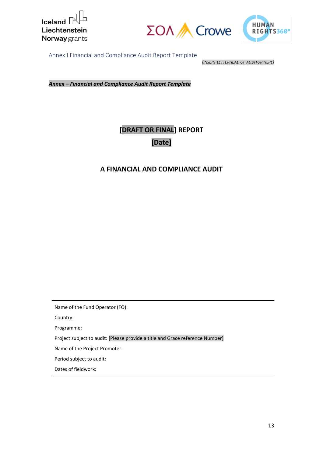





<span id="page-12-0"></span>Annex I Financial and Compliance Audit Report Template

*[INSERT LETTERHEAD OF AUDITOR HERE]*

*Annex – Financial and Compliance Audit Report Template*

## **[DRAFT OR FINAL] REPORT [Date]**

## **A FINANCIAL AND COMPLIANCE AUDIT**

Name of the Fund Operator (FO):

Country:

Programme:

Project subject to audit: [Please provide a title and Grace reference Number]

Name of the Project Promoter:

Period subject to audit:

Dates of fieldwork: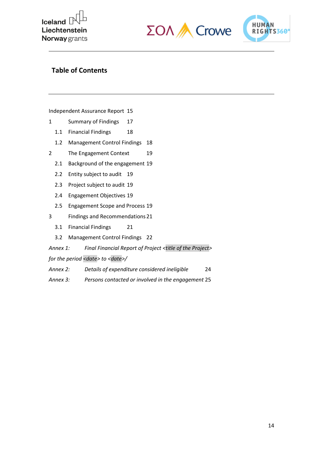





### **Table of Contents**

[Independent Assurance Report](file://///192.168.61.2/mc/FUND%20OPERATOR-%20EEA%20GRANTS/15_TOR%20for%20external%20auditors/Annex%201%20-%20Financial%20and%20Compliance%20Audit%20Report%20Template.docx%23_Toc20310535) 15

- 1 [Summary of Findings](file://///192.168.61.2/mc/FUND%20OPERATOR-%20EEA%20GRANTS/15_TOR%20for%20external%20auditors/Annex%201%20-%20Financial%20and%20Compliance%20Audit%20Report%20Template.docx%23_Toc20310536) 17
	- 1.1 [Financial Findings](file://///192.168.61.2/mc/FUND%20OPERATOR-%20EEA%20GRANTS/15_TOR%20for%20external%20auditors/Annex%201%20-%20Financial%20and%20Compliance%20Audit%20Report%20Template.docx%23_Toc20310537) 18
	- 1.2 [Management Control Findings](file://///192.168.61.2/mc/FUND%20OPERATOR-%20EEA%20GRANTS/15_TOR%20for%20external%20auditors/Annex%201%20-%20Financial%20and%20Compliance%20Audit%20Report%20Template.docx%23_Toc20310538) 18
- 2 [The Engagement Context](file://///192.168.61.2/mc/FUND%20OPERATOR-%20EEA%20GRANTS/15_TOR%20for%20external%20auditors/Annex%201%20-%20Financial%20and%20Compliance%20Audit%20Report%20Template.docx%23_Toc20310539) 19
	- 2.1 [Background of the engagement](file://///192.168.61.2/mc/FUND%20OPERATOR-%20EEA%20GRANTS/15_TOR%20for%20external%20auditors/Annex%201%20-%20Financial%20and%20Compliance%20Audit%20Report%20Template.docx%23_Toc20310540) 19
	- 2.2 [Entity subject to audit](file://///192.168.61.2/mc/FUND%20OPERATOR-%20EEA%20GRANTS/15_TOR%20for%20external%20auditors/Annex%201%20-%20Financial%20and%20Compliance%20Audit%20Report%20Template.docx%23_Toc20310541) 19
	- 2.3 [Project subject to audit](file://///192.168.61.2/mc/FUND%20OPERATOR-%20EEA%20GRANTS/15_TOR%20for%20external%20auditors/Annex%201%20-%20Financial%20and%20Compliance%20Audit%20Report%20Template.docx%23_Toc20310542) 19
	- 2.4 [Engagement Objectives](file://///192.168.61.2/mc/FUND%20OPERATOR-%20EEA%20GRANTS/15_TOR%20for%20external%20auditors/Annex%201%20-%20Financial%20and%20Compliance%20Audit%20Report%20Template.docx%23_Toc20310543) 19
	- 2.5 [Engagement Scope and Process](file://///192.168.61.2/mc/FUND%20OPERATOR-%20EEA%20GRANTS/15_TOR%20for%20external%20auditors/Annex%201%20-%20Financial%20and%20Compliance%20Audit%20Report%20Template.docx%23_Toc20310544) 19
- 3 [Findings and Recommendations21](file://///192.168.61.2/mc/FUND%20OPERATOR-%20EEA%20GRANTS/15_TOR%20for%20external%20auditors/Annex%201%20-%20Financial%20and%20Compliance%20Audit%20Report%20Template.docx%23_Toc20310545)
	- 3.1 [Financial Findings](file://///192.168.61.2/mc/FUND%20OPERATOR-%20EEA%20GRANTS/15_TOR%20for%20external%20auditors/Annex%201%20-%20Financial%20and%20Compliance%20Audit%20Report%20Template.docx%23_Toc20310546) 21
	- 3.2 [Management Control Findings](file://///192.168.61.2/mc/FUND%20OPERATOR-%20EEA%20GRANTS/15_TOR%20for%20external%20auditors/Annex%201%20-%20Financial%20and%20Compliance%20Audit%20Report%20Template.docx%23_Toc20310547) 22

*Annex 1: [Final Financial Report of Project](file://///192.168.61.2/mc/FUND%20OPERATOR-%20EEA%20GRANTS/15_TOR%20for%20external%20auditors/Annex%201%20-%20Financial%20and%20Compliance%20Audit%20Report%20Template.docx%23_Toc20310548) <title of the Project>*

*[for the period <date> to <date>/](file://///192.168.61.2/mc/FUND%20OPERATOR-%20EEA%20GRANTS/15_TOR%20for%20external%20auditors/Annex%201%20-%20Financial%20and%20Compliance%20Audit%20Report%20Template.docx%23_Toc20310549)*

- *Annex 2: [Details of expenditure considered ineligible](file://///192.168.61.2/mc/FUND%20OPERATOR-%20EEA%20GRANTS/15_TOR%20for%20external%20auditors/Annex%201%20-%20Financial%20and%20Compliance%20Audit%20Report%20Template.docx%23_Toc20310550)* 24
- *Annex 3: [Persons contacted or involved in the engagement](file://///192.168.61.2/mc/FUND%20OPERATOR-%20EEA%20GRANTS/15_TOR%20for%20external%20auditors/Annex%201%20-%20Financial%20and%20Compliance%20Audit%20Report%20Template.docx%23_Toc20310551)* 25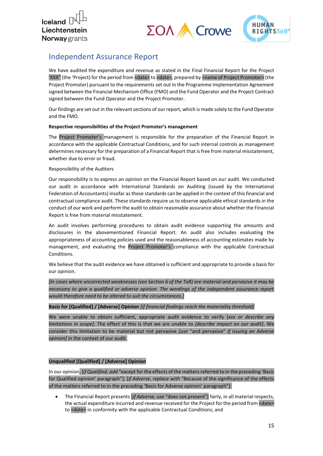



## Independent Assurance Report

We have audited the expenditure and revenue as stated in the Final Financial Report for the Project 'XXX" (the 'Project) for the period from <date> to <date>, prepared by <name of Project Promoter> (the Project Promoter) pursuant to the requirements set out in the Programme Implementation Agreement signed between the Financial Mechanism Office (FMO) and the Fund Operator and the Project Contract signed between the Fund Operator and the Project Promoter.

Our findings are set out in the relevant sections of our report, which is made solely to the Fund Operator and the FMO.

#### **Respective responsibilities of the Project Promoter's management**

The Project Promoter's management is responsible for the preparation of the Financial Report in accordance with the applicable Contractual Conditions, and for such internal controls as management determines necessary for the preparation of a Financial Report that is free from material misstatement, whether due to error or fraud.

#### Responsibility of the Auditors

Our responsibility is to express an opinion on the Financial Report based on our audit. We conducted our audit in accordance with International Standards on Auditing (issued by the International Federation of Accountants) insofar as these standards can be applied in the context of this financial and contractual compliance audit. These standards require us to observe applicable ethical standards in the conduct of our work and perform the audit to obtain reasonable assurance about whether the Financial Report is free from material misstatement.

An audit involves performing procedures to obtain audit evidence supporting the amounts and disclosures in the abovementioned Financial Report. An audit also includes evaluating the appropriateness of accounting policies used and the reasonableness of accounting estimates made by management, and evaluating the Project Promoter's compliance with the applicable Contractual Conditions.

We believe that the audit evidence we have obtained is sufficient and appropriate to provide a basis for our opinion.

*[In cases where uncorrected weaknesses (see Section 6 of the ToR) are material and pervasive it may be necessary to give a qualified or adverse opinion. The wordings of the independent assurance report would therefore need to be altered to suit the circumstances.]*

#### **Basis for [Qualified] / [Adverse] Opinion** *[if financial findings reach the materiality threshold]*

We were unable to obtain sufficient, appropriate audit evidence to verify [*xxx or describe any limitations in scope]*. The effect of this is that we are unable to *[describe impact on our audit]*. We consider this limitation to be material but not pervasive *[use* "and pervasive" *if issuing an Adverse opinion]* in the context of our audit.

#### **Unqualified [Qualified] / [Adverse] Opinion**

In our opinion, [*if Qualified, add* "except for the effects of the matters referred to in the preceding 'Basis for Qualified opinion' paragraph"]; [*if Adverse, replace with* "Because of the significance of the effects of the matters referred to in the preceding 'Basis for Adverse opinion' paragraph"]:

• The Financial Report presents [*if Adverse, use* "does not present"] fairly, in all material respects, the actual expenditure incurred and revenue received for the Project for the period from <date> to <date> in conformity with the applicable Contractual Conditions; and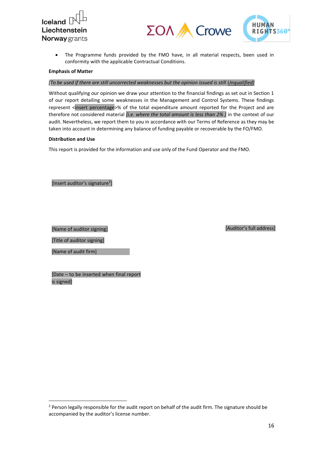





• The Programme funds provided by the FMO have, in all material respects, been used in conformity with the applicable Contractual Conditions.

#### **Emphasis of Matter**

#### *[To be used if there are still uncorrected weaknesses but the opinion issued is still Unqualified]*

Without qualifying our opinion we draw your attention to the financial findings as set out in Section 1 of our report detailing some weaknesses in the Management and Control Systems. These findings represent <insert percentage>% of the total expenditure amount reported for the Project and are therefore not considered material *[i.e. where the total amount is less than 2% ]* in the context of our audit. Nevertheless, we report them to you in accordance with our Terms of Reference as they may be taken into account in determining any balance of funding payable or recoverable by the FO/FMO.

#### **Distribution and Use**

This report is provided for the information and use only of the Fund Operator and the FMO.

[Insert auditor's signature<sup>2</sup>]

[Name of auditor signing]

[Auditor's full address]

[Title of auditor signing]

[Name of audit firm]

[Date – to be inserted when final report is signed]

 $2$  Person legally responsible for the audit report on behalf of the audit firm. The signature should be accompanied by the auditor's license number.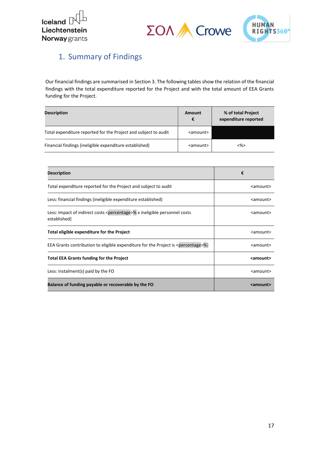





## 1. Summary of Findings

Our financial findings are summarised in Section 3. The following tables show the relation of the financial findings with the total expenditure reported for the Project and with the total amount of EEA Grants funding for the Project.

| <b>Description</b>                                              | Amount<br>€       | % of total Project<br>expenditure reported |
|-----------------------------------------------------------------|-------------------|--------------------------------------------|
| Total expenditure reported for the Project and subject to audit | <amount></amount> |                                            |
| Financial findings (ineligible expenditure established)         | <amount></amount> | <%>                                        |

| <b>Description</b>                                                                                     | €                 |
|--------------------------------------------------------------------------------------------------------|-------------------|
| Total expenditure reported for the Project and subject to audit                                        | $\leq$ amount $>$ |
| Less: financial findings (ineligible expenditure established)                                          | $\leq$ amount $>$ |
| Less: Impact of indirect costs <percentage>% x ineligible personnel costs<br/>established</percentage> | $\leq$ amount $>$ |
| Total eligible expenditure for the Project                                                             | <amount></amount> |
| EEA Grants contribution to eligible expenditure for the Project is <percentage>%]</percentage>         | <amount></amount> |
| <b>Total EEA Grants funding for the Project</b>                                                        | <amount></amount> |
| Less: instalment(s) paid by the FO                                                                     | <amount></amount> |
| Balance of funding payable or recoverable by the FO                                                    | <amount></amount> |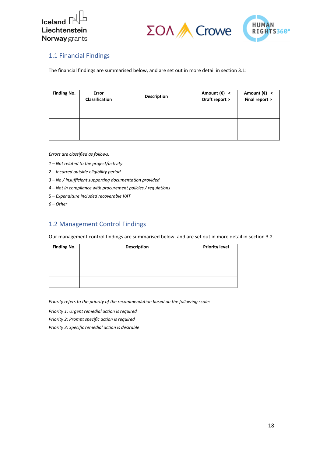





### 1.1 Financial Findings

The financial findings are summarised below, and are set out in more detail in section 3.1:

| <b>Finding No.</b> | Error<br>Classification | <b>Description</b> |  | Amount $(\epsilon)$ <<br>Amount $(\epsilon)$ <<br>Final report ><br>Draft report > |  |
|--------------------|-------------------------|--------------------|--|------------------------------------------------------------------------------------|--|
|                    |                         |                    |  |                                                                                    |  |
|                    |                         |                    |  |                                                                                    |  |
|                    |                         |                    |  |                                                                                    |  |

*Errors are classified as follows:*

- *1 – Not related to the project/activity*
- *2 – Incurred outside eligibility period*
- *3 – No / insufficient supporting documentation provided*
- *4 – Not in compliance with procurement policies / regulations*
- 5 *– Expenditure included recoverable VAT*
- *6 – Other*

#### 1.2 Management Control Findings

Our management control findings are summarised below, and are set out in more detail in section 3.2.

| <b>Finding No.</b> | <b>Description</b> | <b>Priority level</b> |
|--------------------|--------------------|-----------------------|
|                    |                    |                       |
|                    |                    |                       |
|                    |                    |                       |

*Priority refers to the priority of the recommendation based on the following scale:*

*Priority 1: Urgent remedial action is required*

*Priority 2: Prompt specific action is required*

*Priority 3: Specific remedial action is desirable*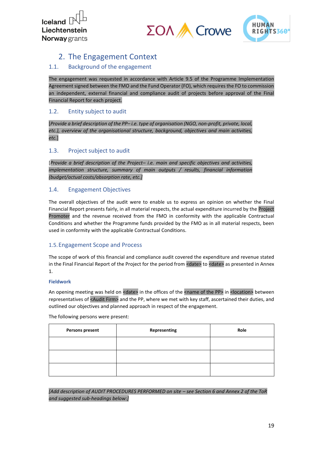



## 2. The Engagement Context

#### 1.1. Background of the engagement

The engagement was requested in accordance with Article 9.5 of the Programme Implementation Agreement signed between the FMO and the Fund Operator (FO), which requires the FO to commission an independent, external financial and compliance audit of projects before approval of the Final Financial Report for each project.

#### 1.2. Entity subject to audit

[*Provide a brief description of the PP– i.e. type of organisation (NGO, non-profit, private, local, etc.), overview of the organisational structure, background, objectives and main activities, etc.*]

#### 1.3. Project subject to audit

[*Provide a brief description of the Project– i.e. main and specific objectives and activities, implementation structure, summary of main outputs / results, financial information (budget/actual costs/absorption rate, etc.]*

#### 1.4. Engagement Objectives

The overall objectives of the audit were to enable us to express an opinion on whether the Final Financial Report presents fairly, in all material respects, the actual expenditure incurred by the Project Promoter and the revenue received from the FMO in conformity with the applicable Contractual Conditions and whether the Programme funds provided by the FMO as in all material respects, been used in conformity with the applicable Contractual Conditions.

#### 1.5.Engagement Scope and Process

The scope of work of this financial and compliance audit covered the expenditure and revenue stated in the Final Financial Report of the Project for the period from <date> to <date> as presented in Annex 1.

#### **Fieldwork**

An opening meeting was held on <date> in the offices of the <name of the PP> in <location> between representatives of <Audit Firm> and the PP, where we met with key staff, ascertained their duties, and outlined our objectives and planned approach in respect of the engagement.

The following persons were present:

| <b>Persons present</b> | Representing | Role |  |  |
|------------------------|--------------|------|--|--|
|                        |              |      |  |  |
|                        |              |      |  |  |
|                        |              |      |  |  |

*[Add description of AUDIT PROCEDURES PERFORMED on site – see Section 6 and Annex 2 of the ToR and suggested sub-headings below:]*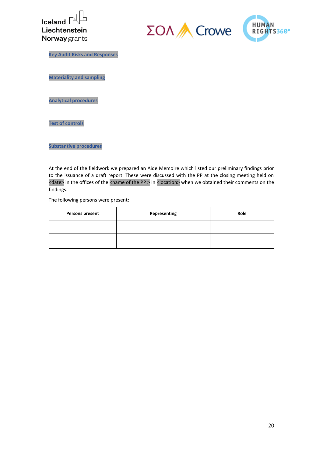





**Key Audit Risks and Responses**

**Materiality and sampling**

**Analytical procedures**

**Test of controls**

**Substantive procedures**

At the end of the fieldwork we prepared an Aide Memoire which listed our preliminary findings prior to the issuance of a draft report. These were discussed with the PP at the closing meeting held on <date> in the offices of the <name of the PP > in <location> when we obtained their comments on the findings.

The following persons were present:

| <b>Persons present</b> | Representing | Role |  |  |
|------------------------|--------------|------|--|--|
|                        |              |      |  |  |
|                        |              |      |  |  |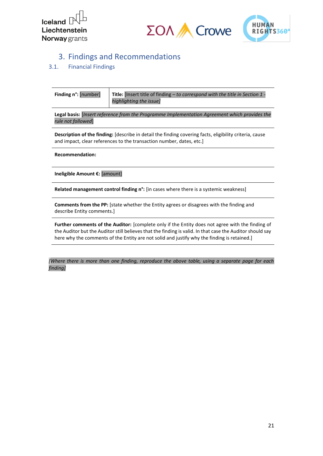



## 3. Findings and Recommendations

#### 3.1. Financial Findings

| <b>Finding n°:</b> [number] | <b>Title:</b> Insert title of finding $-$ to correspond with the title in Section 1 - |
|-----------------------------|---------------------------------------------------------------------------------------|
|                             | highlighting the issue]                                                               |

**Legal basis:** [*Insert reference from the Programme Implementation Agreement which provides the rule not followed*]

**Description of the finding:** [describe in detail the finding covering facts, eligibility criteria, cause and impact, clear references to the transaction number, dates, etc.]

**Recommendation:**

**Ineligible Amount €:** [amount]

**Related management control finding n°:** [in cases where there is a systemic weakness]

**Comments from the PP:** [state whether the Entity agrees or disagrees with the finding and describe Entity comments.]

**Further comments of the Auditor:** [complete only if the Entity does not agree with the finding of the Auditor but the Auditor still believes that the finding is valid. In that case the Auditor should say here why the comments of the Entity are not solid and justify why the finding is retained.]

*[Where there is more than one finding, reproduce the above table, using a separate page for each finding]*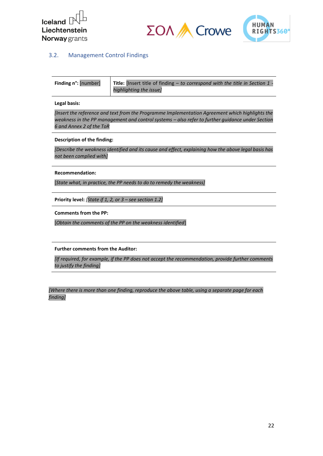





#### 3.2. Management Control Findings

| <b>Finding n°: [number]</b> | <b>Title:</b> [Insert title of finding $-$ to correspond with the title in Section 1 - |
|-----------------------------|----------------------------------------------------------------------------------------|
|                             | highlighting the issue]                                                                |

**Legal basis:**

*[Insert the reference and text from the Programme Implementation Agreement which highlights the weakness in the PP management and control systems – also refer to further guidance under Section 6 and Annex 2 of the ToR*

**Description of the finding:**

*[Describe the weakness identified and its cause and effect, explaining how the above legal basis has not been complied with]*

**Recommendation:**

[*State what, in practice, the PP needs to do to remedy the weakness]*

**Priority level:** *[State if 1, 2, or 3 – see section 1.2]*

**Comments from the PP:**

[*Obtain the comments of the PP on the weakness identified*]

**Further comments from the Auditor:**

*[If required, for example, if the PP does not accept the recommendation, provide further comments to justify the finding]*

*[Where there is more than one finding, reproduce the above table, using a separate page for each finding]*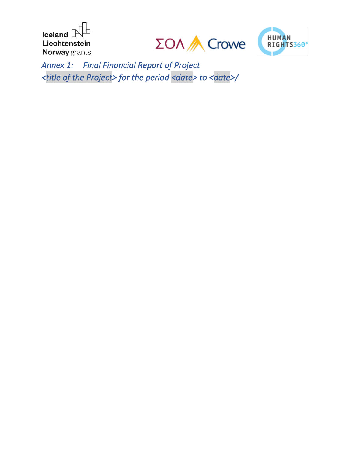Iceland  $\mathbb P$ b Liechtenstein Norway grants





*Annex 1: Final Financial Report of Project <title of the Project> for the period <date> to <date>/*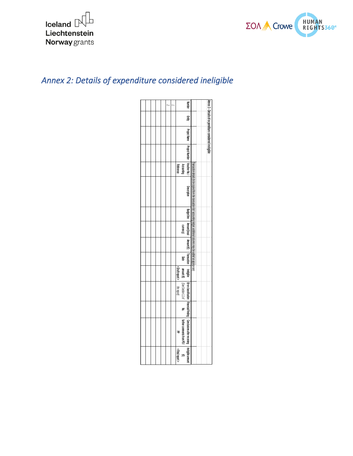



## *Annex 2: Details of expenditure considered ineligible*

|  |  |  | <b>Number</b>                                                                                                                                  |  |
|--|--|--|------------------------------------------------------------------------------------------------------------------------------------------------|--|
|  |  |  | 一                                                                                                                                              |  |
|  |  |  | Annex 3 - Details of expenditure considered ineligible                                                                                         |  |
|  |  |  | Project Name Project Number Voucher No.                                                                                                        |  |
|  |  |  | Accounting<br>Reference                                                                                                                        |  |
|  |  |  | Transaction details (to be copied from the transaction list) accounting ledger, additional columns may be added as appropriate.<br>Description |  |
|  |  |  |                                                                                                                                                |  |
|  |  |  | Budget line   Amount (local  <br>curency)                                                                                                      |  |
|  |  |  | Amount (E)                                                                                                                                     |  |
|  |  |  | Transaction<br>Date                                                                                                                            |  |
|  |  |  | <draft report=""><br/>amount (E)</draft>                                                                                                       |  |
|  |  |  | (See Section 1.1 of<br>the report)                                                                                                             |  |
|  |  |  | F                                                                                                                                              |  |
|  |  |  | Ineligible Error classification Financial Finding Conclusions after receiving Ineligible amount<br>further comments from PO/<br>공              |  |
|  |  |  | < Final report ><br>3                                                                                                                          |  |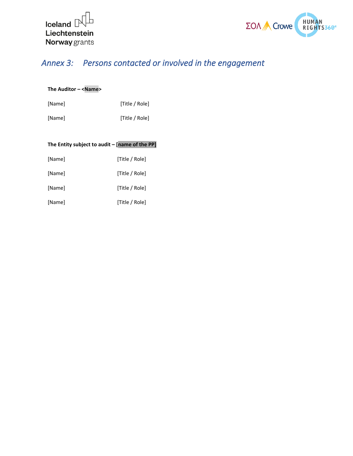



## *Annex 3: Persons contacted or involved in the engagement*

#### **The Auditor – <Name>**

[Name] [Title / Role]

[Name] [Title / Role]

| The Entity subject to audit - [name of the PP] |                |
|------------------------------------------------|----------------|
| [Name]                                         | [Title / Role] |
| [Name]                                         | [Title / Role] |
| [Name]                                         | [Title / Role] |
| [Name]                                         | [Title / Role] |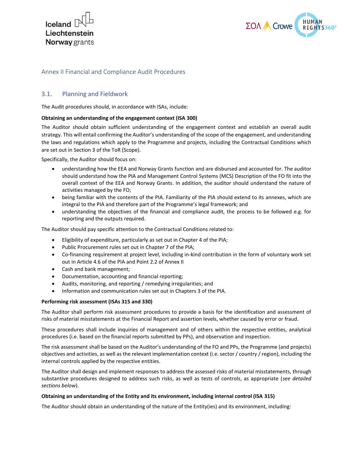



#### Annex II Financial and Compliance Audit Procedures

#### <span id="page-25-0"></span>3.1. Planning and Fieldwork

The Audit procedures should, in accordance with ISAs, include:

#### **Obtaining an understanding of the engagement context (ISA 300)**

The Auditor should obtain sufficient understanding of the engagement context and establish an overall audit strategy. This will entail confirming the Auditor's understanding of the scope of the engagement, and understanding the laws and regulations which apply to the Programme and projects, including the Contractual Conditions which are set out in Section 3 of the ToR (Scope).

Specifically, the Auditor should focus on:

- understanding how the EEA and Norway Grants function and are disbursed and accounted for. The auditor should understand how the PIA and Management Control Systems (MCS) Description of the FO fit into the overall context of the EEA and Norway Grants. In addition, the auditor should understand the nature of activities managed by the FO;
- being familiar with the contents of the PIA. Familiarity of the PIA should extend to its annexes, which are integral to the PIA and therefore part of the Programme's legal framework; and
- understanding the objectives of the financial and compliance audit, the process to be followed e.g. for reporting and the outputs required.

The Auditor should pay specific attention to the Contractual Conditions related to:

- Eligibility of expenditure, particularly as set out in Chapter 4 of the PIA;
- Public Procurement rules set out in Chapter 7 of the PIA;
- Co-financing requirement at project level, including in-kind contribution in the form of voluntary work set out in Article 4.6 of the PIA and Point 2.2 of Annex II
- Cash and bank management;
- Documentation, accounting and financial reporting;
- Audits, monitoring, and reporting / remedying irregularities; and
- Information and communication rules set out in Chapters 3 of the PIA.

#### **Performing risk assessment (ISAs 315 and 330)**

The Auditor shall perform risk assessment procedures to provide a basis for the identification and assessment of risks of material misstatements at the Financial Report and assertion levels, whether caused by error or fraud.

These procedures shall include inquiries of management and of others within the respective entities, analytical procedures (i.e. based on the financial reports submitted by PPs), and observation and inspection.

The risk assessment shall be based on the Auditor's understanding of the FO and PPs, the Programme (and projects) objectives and activities, as well as the relevant implementation context (i.e. sector / country / region), including the internal controls applied by the respective entities.

The Auditor shall design and implement responses to address the assessed risks of material misstatements, through substantive procedures designed to address such risks, as well as tests of controls, as appropriate (*see detailed sections below*).

#### **Obtaining an understanding of the Entity and its environment, including internal control (ISA 315)**

The Auditor should obtain an understanding of the nature of the Entity(ies) and its environment, including: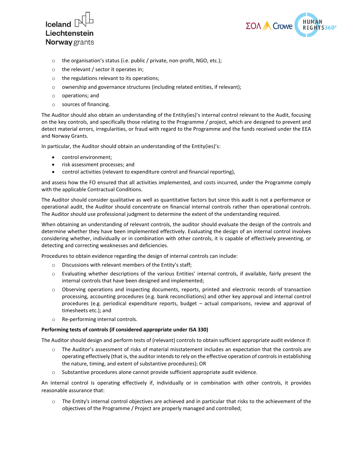



- o the organisation's status (i.e. public / private, non-profit, NGO, etc.);
- o the relevant / sector it operates in;
- o the regulations relevant to its operations;
- o ownership and governance structures (including related entities, if relevant);
- o operations; and
- o sources of financing.

The Auditor should also obtain an understanding of the Entity(ies)'s internal control relevant to the Audit, focusing on the key controls, and specifically those relating to the Programme / project, which are designed to prevent and detect material errors, irregularities, or fraud with regard to the Programme and the funds received under the EEA and Norway Grants.

In particular, the Auditor should obtain an understanding of the Entity(ies)'s:

- control environment;
- risk assessment processes; and
- control activities (relevant to expenditure control and financial reporting),

and assess how the FO ensured that all activities implemented, and costs incurred, under the Programme comply with the applicable Contractual Conditions.

The Auditor should consider qualitative as well as quantitative factors but since this audit is not a performance or operational audit, the Auditor should concentrate on financial internal controls rather than operational controls. The Auditor should use professional judgment to determine the extent of the understanding required.

When obtaining an understanding of relevant controls, the auditor should evaluate the design of the controls and determine whether they have been implemented effectively. Evaluating the design of an internal control involves considering whether, individually or in combination with other controls, it is capable of effectively preventing, or detecting and correcting weaknesses and deficiencies.

Procedures to obtain evidence regarding the design of internal controls can include:

- o Discussions with relevant members of the Entity's staff;
- o Evaluating whether descriptions of the various Entities' internal controls, if available, fairly present the internal controls that have been designed and implemented;
- o Observing operations and inspecting documents, reports, printed and electronic records of transaction processing, accounting procedures (e.g. bank reconciliations) and other key approval and internal control procedures (e.g. periodical expenditure reports, budget – actual comparisons, review and approval of timesheets etc.); and
- o Re-performing internal controls.

#### **Performing tests of controls (if considered appropriate under ISA 330)**

The Auditor should design and perform tests of (relevant) controls to obtain sufficient appropriate audit evidence if:

- o The Auditor's assessment of risks of material misstatement includes an expectation that the controls are operating effectively (that is, the auditor intends to rely on the effective operation of controls in establishing the nature, timing, and extent of substantive procedures); OR
- $\circ$  Substantive procedures alone cannot provide sufficient appropriate audit evidence.

An internal control is operating effectively if, individually or in combination with other controls, it provides reasonable assurance that:

 $\circ$  The Entity's internal control objectives are achieved and in particular that risks to the achievement of the objectives of the Programme / Project are properly managed and controlled;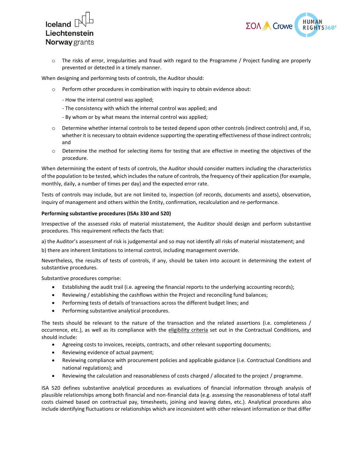



o The risks of error, irregularities and fraud with regard to the Programme / Project funding are properly prevented or detected in a timely manner.

When designing and performing tests of controls, the Auditor should:

- $\circ$  Perform other procedures in combination with inquiry to obtain evidence about:
	- How the internal control was applied;
	- The consistency with which the internal control was applied; and
	- By whom or by what means the internal control was applied;
- $\circ$  Determine whether internal controls to be tested depend upon other controls (indirect controls) and, if so, whether it is necessary to obtain evidence supporting the operating effectiveness of those indirect controls; and
- o Determine the method for selecting items for testing that are effective in meeting the objectives of the procedure.

When determining the extent of tests of controls, the Auditor should consider matters including the characteristics of the population to be tested, which includes the nature of controls, the frequency of their application (for example, monthly, daily, a number of times per day) and the expected error rate.

Tests of controls may include, but are not limited to, inspection (of records, documents and assets), observation, inquiry of management and others within the Entity, confirmation, recalculation and re-performance.

#### **Performing substantive procedures (ISAs 330 and 520)**

Irrespective of the assessed risks of material misstatement, the Auditor should design and perform substantive procedures. This requirement reflects the facts that:

a) the Auditor's assessment of risk is judgemental and so may not identify all risks of material misstatement; and

b) there are inherent limitations to internal control, including management override.

Nevertheless, the results of tests of controls, if any, should be taken into account in determining the extent of substantive procedures.

Substantive procedures comprise:

- Establishing the audit trail (i.e. agreeing the financial reports to the underlying accounting records);
- Reviewing / establishing the cashflows within the Project and reconciling fund balances;
- Performing tests of details of transactions across the different budget lines; and
- Performing substantive analytical procedures.

The tests should be relevant to the nature of the transaction and the related assertions (i.e. completeness / occurrence, etc.), as well as its compliance with the eligibility criteria set out in the Contractual Conditions, and should include:

- Agreeing costs to invoices, receipts, contracts, and other relevant supporting documents;
- Reviewing evidence of actual payment;
- Reviewing compliance with procurement policies and applicable guidance (i.e. Contractual Conditions and national regulations); and
- Reviewing the calculation and reasonableness of costs charged / allocated to the project / programme.

ISA 520 defines substantive analytical procedures as evaluations of financial information through analysis of plausible relationships among both financial and non-financial data (e.g. assessing the reasonableness of total staff costs claimed based on contractual pay, timesheets, joining and leaving dates, etc.). Analytical procedures also include identifying fluctuations or relationships which are inconsistent with other relevant information or that differ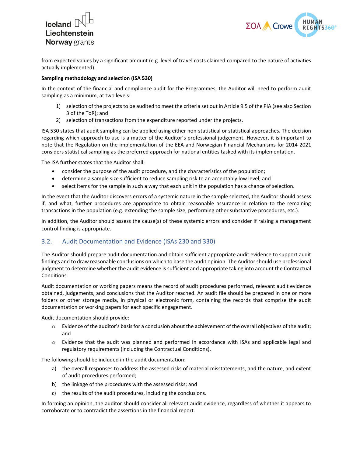



from expected values by a significant amount (e.g. level of travel costs claimed compared to the nature of activities actually implemented).

#### **Sampling methodology and selection (ISA 530)**

In the context of the financial and compliance audit for the Programmes, the Auditor will need to perform audit sampling as a minimum, at two levels:

- 1) selection of the projects to be audited to meet the criteria set out in Article 9.5 of the PIA (see also Section 3 of the ToR); and
- 2) selection of transactions from the expenditure reported under the projects.

ISA 530 states that audit sampling can be applied using either non-statistical or statistical approaches. The decision regarding which approach to use is a matter of the Auditor's professional judgement. However, it is important to note that the Regulation on the implementation of the EEA and Norwegian Financial Mechanisms for 2014-2021 considers statistical sampling as the preferred approach for national entities tasked with its implementation.

The ISA further states that the Auditor shall:

- consider the purpose of the audit procedure, and the characteristics of the population;
- determine a sample size sufficient to reduce sampling risk to an acceptably low level; and
- select items for the sample in such a way that each unit in the population has a chance of selection.

In the event that the Auditor discovers errors of a systemic nature in the sample selected, the Auditor should assess if, and what, further procedures are appropriate to obtain reasonable assurance in relation to the remaining transactions in the population (e.g. extending the sample size, performing other substantive procedures, etc.).

In addition, the Auditor should assess the cause(s) of these systemic errors and consider if raising a management control finding is appropriate.

#### 3.2. Audit Documentation and Evidence (ISAs 230 and 330)

The Auditor should prepare audit documentation and obtain sufficient appropriate audit evidence to support audit findings and to draw reasonable conclusions on which to base the audit opinion. The Auditor should use professional judgment to determine whether the audit evidence is sufficient and appropriate taking into account the Contractual Conditions.

Audit documentation or working papers means the record of audit procedures performed, relevant audit evidence obtained, judgements, and conclusions that the Auditor reached. An audit file should be prepared in one or more folders or other storage media, in physical or electronic form, containing the records that comprise the audit documentation or working papers for each specific engagement.

Audit documentation should provide:

- $\circ$  Evidence of the auditor's basis for a conclusion about the achievement of the overall objectives of the audit; and
- o Evidence that the audit was planned and performed in accordance with ISAs and applicable legal and regulatory requirements (including the Contractual Conditions).

The following should be included in the audit documentation:

- a) the overall responses to address the assessed risks of material misstatements, and the nature, and extent of audit procedures performed;
- b) the linkage of the procedures with the assessed risks; and
- c) the results of the audit procedures, including the conclusions.

In forming an opinion, the auditor should consider all relevant audit evidence, regardless of whether it appears to corroborate or to contradict the assertions in the financial report.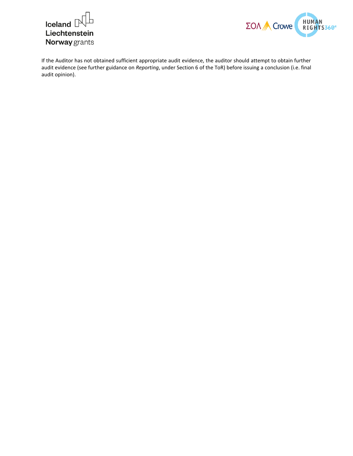



If the Auditor has not obtained sufficient appropriate audit evidence, the auditor should attempt to obtain further audit evidence (see further guidance on *Reporting*, under Section 6 of the ToR) before issuing a conclusion (i.e. final audit opinion).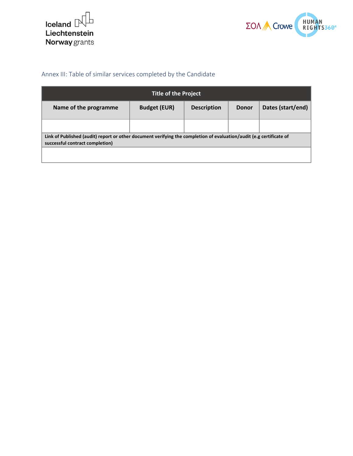



## Annex III: Table of similar services completed by the Candidate

<span id="page-30-0"></span>

| <b>Title of the Project</b>                                                                                                                            |                     |                    |  |                   |  |  |  |
|--------------------------------------------------------------------------------------------------------------------------------------------------------|---------------------|--------------------|--|-------------------|--|--|--|
| Name of the programme                                                                                                                                  | <b>Budget (EUR)</b> | <b>Description</b> |  | Dates (start/end) |  |  |  |
|                                                                                                                                                        |                     |                    |  |                   |  |  |  |
| Link of Published (audit) report or other document verifying the completion of evaluation/audit (e.g certificate of<br>successful contract completion) |                     |                    |  |                   |  |  |  |
|                                                                                                                                                        |                     |                    |  |                   |  |  |  |